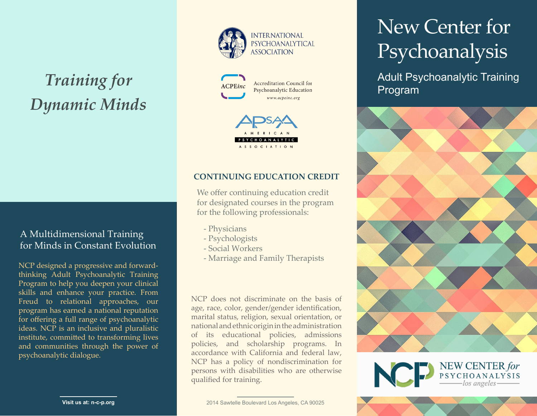# *Training for Dynamic Minds*

# A Multidimensional Training for Minds in Constant Evolution

NCP designed a progressive and forwardthinking Adult Psychoanalytic Training Program to help you deepen your clinical skills and enhance your practice. From Freud to relational approaches, our program has earned a national reputation for offering a full range of psychoanalytic ideas. NCP is an inclusive and pluralistic institute, committed to transforming lives and communities through the power of psychoanalytic dialogue.





**Accreditation Council for** Psychoanalytic Education www.acpeinc.org



# **CONTINUING EDUCATION CREDIT**

We offer continuing education credit for designated courses in the program for the following professionals:

- Physicians
- Psychologists
- Social Workers
- Marriage and Family Therapists

NCP does not discriminate on the basis of age, race, color, gender/gender identification, marital status, religion, sexual orientation, or national and ethnic origin in the administration of its educational policies, admissions policies, and scholarship programs. In accordance with California and federal law, NCP has a policy of nondiscrimination for persons with disabilities who are otherwise qualified for training.

# New Center for Psychoanalysis

Adult Psychoanalytic Training Program





**Visit us at: n-c-p.org**

2014 Sawtelle Boulevard Los Angeles, CA 90025